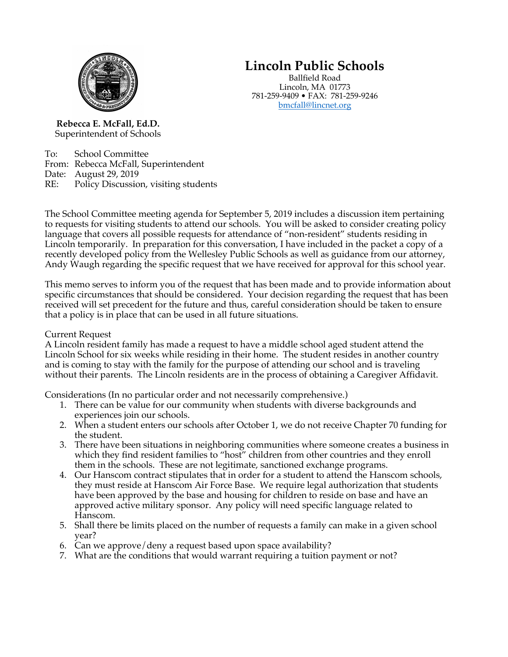

# **Lincoln Public Schools**

Ballfield Road Lincoln, MA 01773 781-259-9409 • FAX: 781-259-9246 bmcfall@lincnet.org

**Rebecca E. McFall, Ed.D.** Superintendent of Schools

To: School Committee From: Rebecca McFall, Superintendent Date: August 29, 2019 RE: Policy Discussion, visiting students

The School Committee meeting agenda for September 5, 2019 includes a discussion item pertaining to requests for visiting students to attend our schools. You will be asked to consider creating policy language that covers all possible requests for attendance of "non-resident" students residing in Lincoln temporarily. In preparation for this conversation, I have included in the packet a copy of a recently developed policy from the Wellesley Public Schools as well as guidance from our attorney, Andy Waugh regarding the specific request that we have received for approval for this school year.

This memo serves to inform you of the request that has been made and to provide information about specific circumstances that should be considered. Your decision regarding the request that has been received will set precedent for the future and thus, careful consideration should be taken to ensure that a policy is in place that can be used in all future situations.

#### Current Request

A Lincoln resident family has made a request to have a middle school aged student attend the Lincoln School for six weeks while residing in their home. The student resides in another country and is coming to stay with the family for the purpose of attending our school and is traveling without their parents. The Lincoln residents are in the process of obtaining a Caregiver Affidavit.

Considerations (In no particular order and not necessarily comprehensive.)

- 1. There can be value for our community when students with diverse backgrounds and experiences join our schools.
- 2. When a student enters our schools after October 1, we do not receive Chapter 70 funding for the student.
- 3. There have been situations in neighboring communities where someone creates a business in which they find resident families to "host" children from other countries and they enroll them in the schools. These are not legitimate, sanctioned exchange programs.
- 4. Our Hanscom contract stipulates that in order for a student to attend the Hanscom schools, they must reside at Hanscom Air Force Base. We require legal authorization that students have been approved by the base and housing for children to reside on base and have an approved active military sponsor. Any policy will need specific language related to Hanscom.
- 5. Shall there be limits placed on the number of requests a family can make in a given school year?
- 6. Can we approve/deny a request based upon space availability?
- 7. What are the conditions that would warrant requiring a tuition payment or not?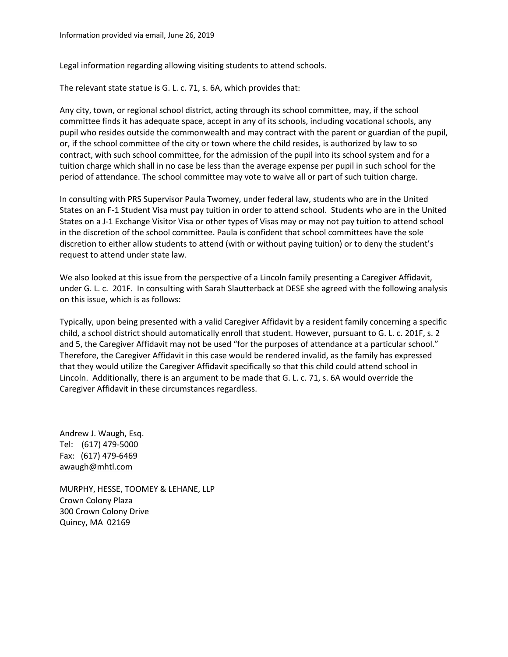Legal information regarding allowing visiting students to attend schools.

The relevant state statue is G. L. c. 71, s. 6A, which provides that:

Any city, town, or regional school district, acting through its school committee, may, if the school committee finds it has adequate space, accept in any of its schools, including vocational schools, any pupil who resides outside the commonwealth and may contract with the parent or guardian of the pupil, or, if the school committee of the city or town where the child resides, is authorized by law to so contract, with such school committee, for the admission of the pupil into its school system and for a tuition charge which shall in no case be less than the average expense per pupil in such school for the period of attendance. The school committee may vote to waive all or part of such tuition charge.

In consulting with PRS Supervisor Paula Twomey, under federal law, students who are in the United States on an F-1 Student Visa must pay tuition in order to attend school. Students who are in the United States on a J-1 Exchange Visitor Visa or other types of Visas may or may not pay tuition to attend school in the discretion of the school committee. Paula is confident that school committees have the sole discretion to either allow students to attend (with or without paying tuition) or to deny the student's request to attend under state law.

We also looked at this issue from the perspective of a Lincoln family presenting a Caregiver Affidavit, under G. L. c. 201F. In consulting with Sarah Slautterback at DESE she agreed with the following analysis on this issue, which is as follows:

Typically, upon being presented with a valid Caregiver Affidavit by a resident family concerning a specific child, a school district should automatically enroll that student. However, pursuant to G. L. c. 201F, s. 2 and 5, the Caregiver Affidavit may not be used "for the purposes of attendance at a particular school." Therefore, the Caregiver Affidavit in this case would be rendered invalid, as the family has expressed that they would utilize the Caregiver Affidavit specifically so that this child could attend school in Lincoln. Additionally, there is an argument to be made that G. L. c. 71, s. 6A would override the Caregiver Affidavit in these circumstances regardless.

Andrew J. Waugh, Esq. Tel: (617) 479-5000 Fax: (617) 479-6469 awaugh@mhtl.com

MURPHY, HESSE, TOOMEY & LEHANE, LLP Crown Colony Plaza 300 Crown Colony Drive Quincy, MA 02169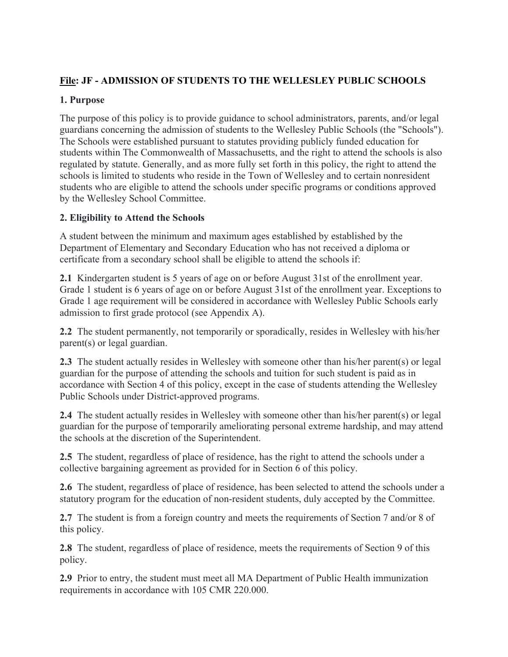# **File: JF - ADMISSION OF STUDENTS TO THE WELLESLEY PUBLIC SCHOOLS**

# **1. Purpose**

The purpose of this policy is to provide guidance to school administrators, parents, and/or legal guardians concerning the admission of students to the Wellesley Public Schools (the "Schools"). The Schools were established pursuant to statutes providing publicly funded education for students within The Commonwealth of Massachusetts, and the right to attend the schools is also regulated by statute. Generally, and as more fully set forth in this policy, the right to attend the schools is limited to students who reside in the Town of Wellesley and to certain nonresident students who are eligible to attend the schools under specific programs or conditions approved by the Wellesley School Committee.

### **2. Eligibility to Attend the Schools**

A student between the minimum and maximum ages established by established by the Department of Elementary and Secondary Education who has not received a diploma or certificate from a secondary school shall be eligible to attend the schools if:

**2.1** Kindergarten student is 5 years of age on or before August 31st of the enrollment year. Grade 1 student is 6 years of age on or before August 31st of the enrollment year. Exceptions to Grade 1 age requirement will be considered in accordance with Wellesley Public Schools early admission to first grade protocol (see Appendix A).

**2.2** The student permanently, not temporarily or sporadically, resides in Wellesley with his/her parent(s) or legal guardian.

**2.3** The student actually resides in Wellesley with someone other than his/her parent(s) or legal guardian for the purpose of attending the schools and tuition for such student is paid as in accordance with Section 4 of this policy, except in the case of students attending the Wellesley Public Schools under District-approved programs.

**2.4** The student actually resides in Wellesley with someone other than his/her parent(s) or legal guardian for the purpose of temporarily ameliorating personal extreme hardship, and may attend the schools at the discretion of the Superintendent.

**2.5** The student, regardless of place of residence, has the right to attend the schools under a collective bargaining agreement as provided for in Section 6 of this policy.

**2.6** The student, regardless of place of residence, has been selected to attend the schools under a statutory program for the education of non-resident students, duly accepted by the Committee.

**2.7** The student is from a foreign country and meets the requirements of Section 7 and/or 8 of this policy.

**2.8** The student, regardless of place of residence, meets the requirements of Section 9 of this policy.

**2.9** Prior to entry, the student must meet all MA Department of Public Health immunization requirements in accordance with 105 CMR 220.000.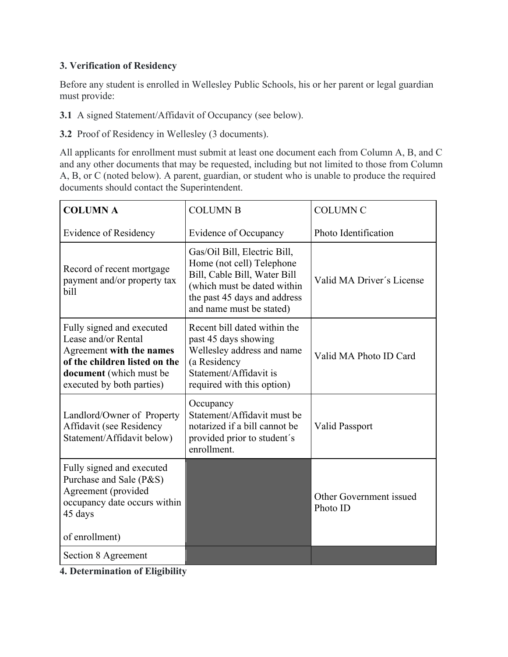# **3. Verification of Residency**

Before any student is enrolled in Wellesley Public Schools, his or her parent or legal guardian must provide:

**3.1** A signed Statement/Affidavit of Occupancy (see below).

**3.2** Proof of Residency in Wellesley (3 documents).

All applicants for enrollment must submit at least one document each from Column A, B, and C and any other documents that may be requested, including but not limited to those from Column A, B, or C (noted below). A parent, guardian, or student who is unable to produce the required documents should contact the Superintendent.

| <b>COLUMN A</b>                                                                                                                                                       | <b>COLUMN B</b>                                                                                                                                                                      | <b>COLUMN C</b>                     |
|-----------------------------------------------------------------------------------------------------------------------------------------------------------------------|--------------------------------------------------------------------------------------------------------------------------------------------------------------------------------------|-------------------------------------|
| <b>Evidence of Residency</b>                                                                                                                                          | Evidence of Occupancy                                                                                                                                                                | Photo Identification                |
| Record of recent mortgage<br>payment and/or property tax<br>bill                                                                                                      | Gas/Oil Bill, Electric Bill,<br>Home (not cell) Telephone<br>Bill, Cable Bill, Water Bill<br>(which must be dated within<br>the past 45 days and address<br>and name must be stated) | Valid MA Driver's License           |
| Fully signed and executed<br>Lease and/or Rental<br>Agreement with the names<br>of the children listed on the<br>document (which must be<br>executed by both parties) | Recent bill dated within the<br>past 45 days showing<br>Wellesley address and name<br>(a Residency<br>Statement/Affidavit is<br>required with this option)                           | Valid MA Photo ID Card              |
| Landlord/Owner of Property<br>Affidavit (see Residency<br>Statement/Affidavit below)                                                                                  | Occupancy<br>Statement/Affidavit must be<br>notarized if a bill cannot be<br>provided prior to student's<br>enrollment.                                                              | <b>Valid Passport</b>               |
| Fully signed and executed<br>Purchase and Sale (P&S)<br>Agreement (provided<br>occupancy date occurs within<br>45 days<br>of enrollment)                              |                                                                                                                                                                                      | Other Government issued<br>Photo ID |
| Section 8 Agreement                                                                                                                                                   |                                                                                                                                                                                      |                                     |

**4. Determination of Eligibility**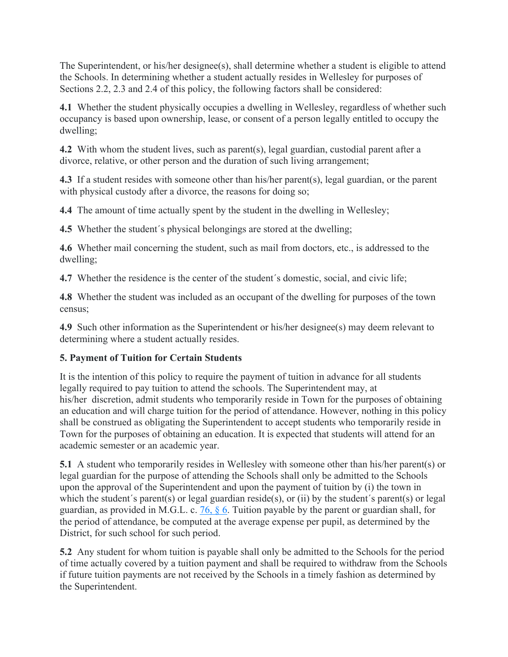The Superintendent, or his/her designee(s), shall determine whether a student is eligible to attend the Schools. In determining whether a student actually resides in Wellesley for purposes of Sections 2.2, 2.3 and 2.4 of this policy, the following factors shall be considered:

**4.1** Whether the student physically occupies a dwelling in Wellesley, regardless of whether such occupancy is based upon ownership, lease, or consent of a person legally entitled to occupy the dwelling;

**4.2** With whom the student lives, such as parent(s), legal guardian, custodial parent after a divorce, relative, or other person and the duration of such living arrangement;

**4.3** If a student resides with someone other than his/her parent(s), legal guardian, or the parent with physical custody after a divorce, the reasons for doing so;

**4.4** The amount of time actually spent by the student in the dwelling in Wellesley;

**4.5** Whether the student's physical belongings are stored at the dwelling;

**4.6** Whether mail concerning the student, such as mail from doctors, etc., is addressed to the dwelling;

**4.7** Whether the residence is the center of the student´s domestic, social, and civic life;

**4.8** Whether the student was included as an occupant of the dwelling for purposes of the town census;

**4.9** Such other information as the Superintendent or his/her designee(s) may deem relevant to determining where a student actually resides.

# **5. Payment of Tuition for Certain Students**

It is the intention of this policy to require the payment of tuition in advance for all students legally required to pay tuition to attend the schools. The Superintendent may, at his/her discretion, admit students who temporarily reside in Town for the purposes of obtaining an education and will charge tuition for the period of attendance. However, nothing in this policy shall be construed as obligating the Superintendent to accept students who temporarily reside in Town for the purposes of obtaining an education. It is expected that students will attend for an academic semester or an academic year.

**5.1** A student who temporarily resides in Wellesley with someone other than his/her parent(s) or legal guardian for the purpose of attending the Schools shall only be admitted to the Schools upon the approval of the Superintendent and upon the payment of tuition by (i) the town in which the student's parent(s) or legal guardian reside(s), or (ii) by the student's parent(s) or legal guardian, as provided in M.G.L. c.  $76, 8, 6$ . Tuition payable by the parent or guardian shall, for the period of attendance, be computed at the average expense per pupil, as determined by the District, for such school for such period.

**5.2** Any student for whom tuition is payable shall only be admitted to the Schools for the period of time actually covered by a tuition payment and shall be required to withdraw from the Schools if future tuition payments are not received by the Schools in a timely fashion as determined by the Superintendent.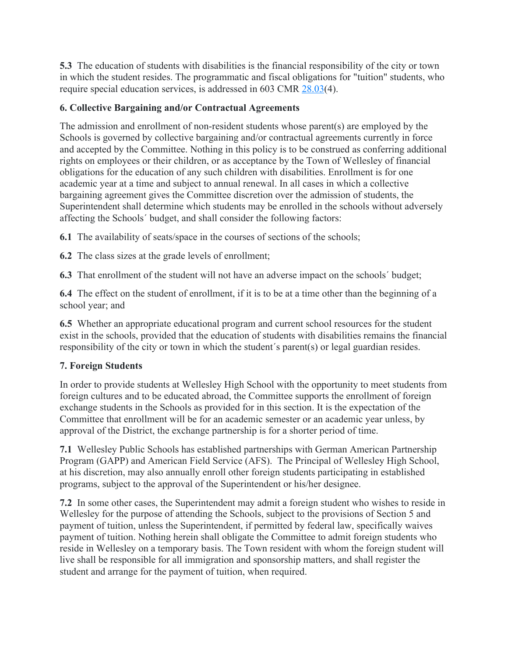**5.3** The education of students with disabilities is the financial responsibility of the city or town in which the student resides. The programmatic and fiscal obligations for "tuition" students, who require special education services, is addressed in 603 CMR 28.03(4).

# **6. Collective Bargaining and/or Contractual Agreements**

The admission and enrollment of non-resident students whose parent(s) are employed by the Schools is governed by collective bargaining and/or contractual agreements currently in force and accepted by the Committee. Nothing in this policy is to be construed as conferring additional rights on employees or their children, or as acceptance by the Town of Wellesley of financial obligations for the education of any such children with disabilities. Enrollment is for one academic year at a time and subject to annual renewal. In all cases in which a collective bargaining agreement gives the Committee discretion over the admission of students, the Superintendent shall determine which students may be enrolled in the schools without adversely affecting the Schools´ budget, and shall consider the following factors:

**6.1** The availability of seats/space in the courses of sections of the schools;

**6.2** The class sizes at the grade levels of enrollment;

**6.3** That enrollment of the student will not have an adverse impact on the schools´ budget;

**6.4** The effect on the student of enrollment, if it is to be at a time other than the beginning of a school year; and

**6.5** Whether an appropriate educational program and current school resources for the student exist in the schools, provided that the education of students with disabilities remains the financial responsibility of the city or town in which the student´s parent(s) or legal guardian resides.

# **7. Foreign Students**

In order to provide students at Wellesley High School with the opportunity to meet students from foreign cultures and to be educated abroad, the Committee supports the enrollment of foreign exchange students in the Schools as provided for in this section. It is the expectation of the Committee that enrollment will be for an academic semester or an academic year unless, by approval of the District, the exchange partnership is for a shorter period of time.

**7.1** Wellesley Public Schools has established partnerships with German American Partnership Program (GAPP) and American Field Service (AFS). The Principal of Wellesley High School, at his discretion, may also annually enroll other foreign students participating in established programs, subject to the approval of the Superintendent or his/her designee.

**7.2** In some other cases, the Superintendent may admit a foreign student who wishes to reside in Wellesley for the purpose of attending the Schools, subject to the provisions of Section 5 and payment of tuition, unless the Superintendent, if permitted by federal law, specifically waives payment of tuition. Nothing herein shall obligate the Committee to admit foreign students who reside in Wellesley on a temporary basis. The Town resident with whom the foreign student will live shall be responsible for all immigration and sponsorship matters, and shall register the student and arrange for the payment of tuition, when required.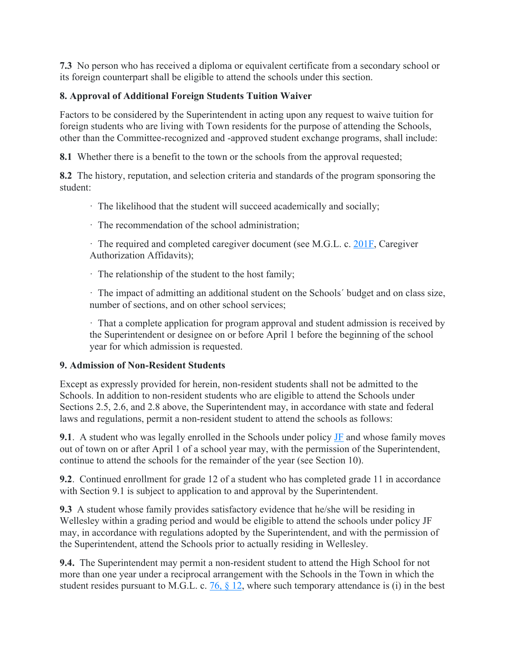**7.3** No person who has received a diploma or equivalent certificate from a secondary school or its foreign counterpart shall be eligible to attend the schools under this section.

### **8. Approval of Additional Foreign Students Tuition Waiver**

Factors to be considered by the Superintendent in acting upon any request to waive tuition for foreign students who are living with Town residents for the purpose of attending the Schools, other than the Committee-recognized and -approved student exchange programs, shall include:

**8.1** Whether there is a benefit to the town or the schools from the approval requested;

**8.2** The history, reputation, and selection criteria and standards of the program sponsoring the student:

· The likelihood that the student will succeed academically and socially;

· The recommendation of the school administration;

· The required and completed caregiver document (see M.G.L. c. 201F, Caregiver Authorization Affidavits);

· The relationship of the student to the host family;

· The impact of admitting an additional student on the Schools´ budget and on class size, number of sections, and on other school services;

· That a complete application for program approval and student admission is received by the Superintendent or designee on or before April 1 before the beginning of the school year for which admission is requested.

#### **9. Admission of Non-Resident Students**

Except as expressly provided for herein, non-resident students shall not be admitted to the Schools. In addition to non-resident students who are eligible to attend the Schools under Sections 2.5, 2.6, and 2.8 above, the Superintendent may, in accordance with state and federal laws and regulations, permit a non-resident student to attend the schools as follows:

**9.1**. A student who was legally enrolled in the Schools under policy **JF** and whose family moves out of town on or after April 1 of a school year may, with the permission of the Superintendent, continue to attend the schools for the remainder of the year (see Section 10).

**9.2**. Continued enrollment for grade 12 of a student who has completed grade 11 in accordance with Section 9.1 is subject to application to and approval by the Superintendent.

**9.3** A student whose family provides satisfactory evidence that he/she will be residing in Wellesley within a grading period and would be eligible to attend the schools under policy JF may, in accordance with regulations adopted by the Superintendent, and with the permission of the Superintendent, attend the Schools prior to actually residing in Wellesley.

**9.4.** The Superintendent may permit a non-resident student to attend the High School for not more than one year under a reciprocal arrangement with the Schools in the Town in which the student resides pursuant to M.G.L. c.  $76, $12$ , where such temporary attendance is (i) in the best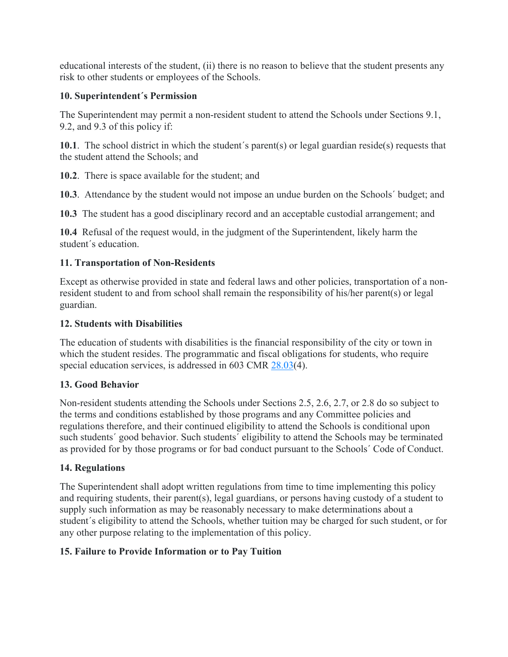educational interests of the student, (ii) there is no reason to believe that the student presents any risk to other students or employees of the Schools.

#### **10. Superintendent´s Permission**

The Superintendent may permit a non-resident student to attend the Schools under Sections 9.1, 9.2, and 9.3 of this policy if:

**10.1**. The school district in which the student´s parent(s) or legal guardian reside(s) requests that the student attend the Schools; and

**10.2**. There is space available for the student; and

**10.3**. Attendance by the student would not impose an undue burden on the Schools´ budget; and

**10.3** The student has a good disciplinary record and an acceptable custodial arrangement; and

**10.4** Refusal of the request would, in the judgment of the Superintendent, likely harm the student´s education.

# **11. Transportation of Non-Residents**

Except as otherwise provided in state and federal laws and other policies, transportation of a nonresident student to and from school shall remain the responsibility of his/her parent(s) or legal guardian.

### **12. Students with Disabilities**

The education of students with disabilities is the financial responsibility of the city or town in which the student resides. The programmatic and fiscal obligations for students, who require special education services, is addressed in 603 CMR  $28.03(4)$ .

# **13. Good Behavior**

Non-resident students attending the Schools under Sections 2.5, 2.6, 2.7, or 2.8 do so subject to the terms and conditions established by those programs and any Committee policies and regulations therefore, and their continued eligibility to attend the Schools is conditional upon such students´ good behavior. Such students´ eligibility to attend the Schools may be terminated as provided for by those programs or for bad conduct pursuant to the Schools´ Code of Conduct.

# **14. Regulations**

The Superintendent shall adopt written regulations from time to time implementing this policy and requiring students, their parent(s), legal guardians, or persons having custody of a student to supply such information as may be reasonably necessary to make determinations about a student´s eligibility to attend the Schools, whether tuition may be charged for such student, or for any other purpose relating to the implementation of this policy.

# **15. Failure to Provide Information or to Pay Tuition**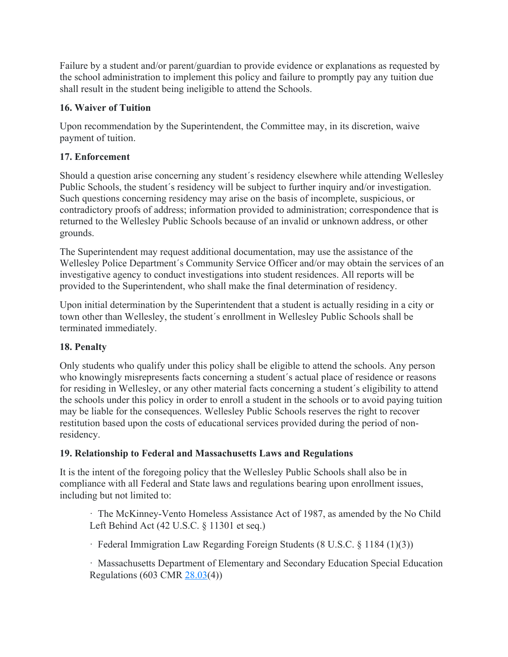Failure by a student and/or parent/guardian to provide evidence or explanations as requested by the school administration to implement this policy and failure to promptly pay any tuition due shall result in the student being ineligible to attend the Schools.

# **16. Waiver of Tuition**

Upon recommendation by the Superintendent, the Committee may, in its discretion, waive payment of tuition.

# **17. Enforcement**

Should a question arise concerning any student´s residency elsewhere while attending Wellesley Public Schools, the student´s residency will be subject to further inquiry and/or investigation. Such questions concerning residency may arise on the basis of incomplete, suspicious, or contradictory proofs of address; information provided to administration; correspondence that is returned to the Wellesley Public Schools because of an invalid or unknown address, or other grounds.

The Superintendent may request additional documentation, may use the assistance of the Wellesley Police Department´s Community Service Officer and/or may obtain the services of an investigative agency to conduct investigations into student residences. All reports will be provided to the Superintendent, who shall make the final determination of residency.

Upon initial determination by the Superintendent that a student is actually residing in a city or town other than Wellesley, the student´s enrollment in Wellesley Public Schools shall be terminated immediately.

# **18. Penalty**

Only students who qualify under this policy shall be eligible to attend the schools. Any person who knowingly misrepresents facts concerning a student's actual place of residence or reasons for residing in Wellesley, or any other material facts concerning a student´s eligibility to attend the schools under this policy in order to enroll a student in the schools or to avoid paying tuition may be liable for the consequences. Wellesley Public Schools reserves the right to recover restitution based upon the costs of educational services provided during the period of nonresidency.

# **19. Relationship to Federal and Massachusetts Laws and Regulations**

It is the intent of the foregoing policy that the Wellesley Public Schools shall also be in compliance with all Federal and State laws and regulations bearing upon enrollment issues, including but not limited to:

· The McKinney-Vento Homeless Assistance Act of 1987, as amended by the No Child Left Behind Act (42 U.S.C. § 11301 et seq.)

· Federal Immigration Law Regarding Foreign Students (8 U.S.C. § 1184 (1)(3))

· Massachusetts Department of Elementary and Secondary Education Special Education Regulations (603 CMR 28.03(4))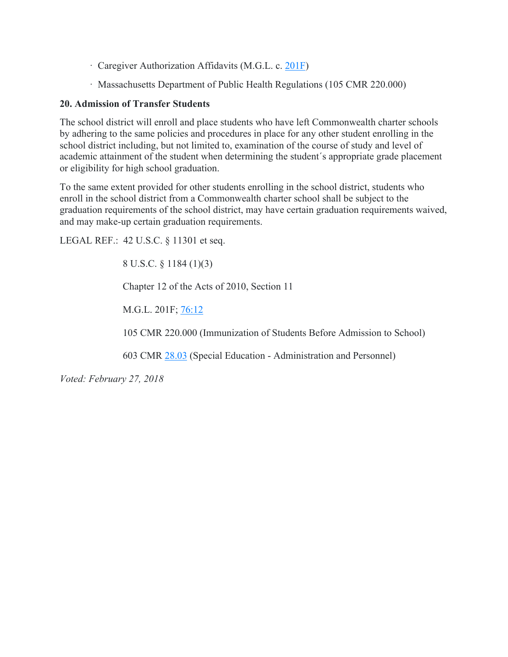- · Caregiver Authorization Affidavits (M.G.L. c. 201F)
- · Massachusetts Department of Public Health Regulations (105 CMR 220.000)

#### **20. Admission of Transfer Students**

The school district will enroll and place students who have left Commonwealth charter schools by adhering to the same policies and procedures in place for any other student enrolling in the school district including, but not limited to, examination of the course of study and level of academic attainment of the student when determining the student´s appropriate grade placement or eligibility for high school graduation.

To the same extent provided for other students enrolling in the school district, students who enroll in the school district from a Commonwealth charter school shall be subject to the graduation requirements of the school district, may have certain graduation requirements waived, and may make-up certain graduation requirements.

LEGAL REF.: 42 U.S.C. § 11301 et seq.

8 U.S.C. § 1184 (1)(3)

Chapter 12 of the Acts of 2010, Section 11

M.G.L. 201F; 76:12

105 CMR 220.000 (Immunization of Students Before Admission to School)

603 CMR 28.03 (Special Education - Administration and Personnel)

*Voted: February 27, 2018*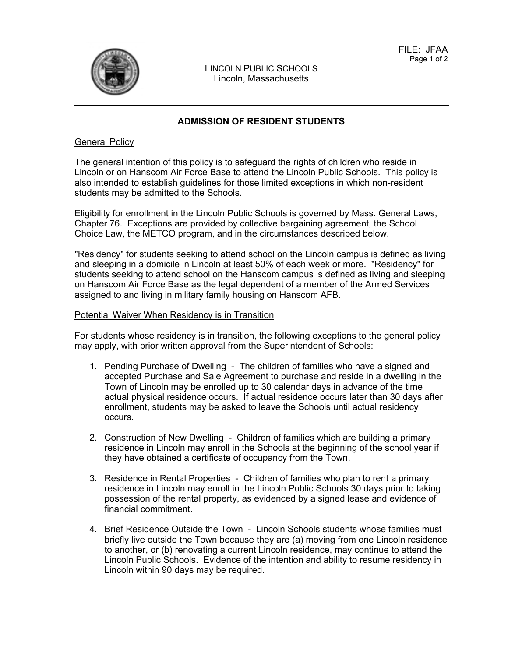

LINCOLN PUBLIC SCHOOLS Lincoln, Massachusetts

#### **ADMISSION OF RESIDENT STUDENTS**

#### General Policy

The general intention of this policy is to safeguard the rights of children who reside in Lincoln or on Hanscom Air Force Base to attend the Lincoln Public Schools. This policy is also intended to establish guidelines for those limited exceptions in which non-resident students may be admitted to the Schools.

Eligibility for enrollment in the Lincoln Public Schools is governed by Mass. General Laws, Chapter 76. Exceptions are provided by collective bargaining agreement, the School Choice Law, the METCO program, and in the circumstances described below.

"Residency" for students seeking to attend school on the Lincoln campus is defined as living and sleeping in a domicile in Lincoln at least 50% of each week or more. "Residency" for students seeking to attend school on the Hanscom campus is defined as living and sleeping on Hanscom Air Force Base as the legal dependent of a member of the Armed Services assigned to and living in military family housing on Hanscom AFB.

#### Potential Waiver When Residency is in Transition

For students whose residency is in transition, the following exceptions to the general policy may apply, with prior written approval from the Superintendent of Schools:

- 1. Pending Purchase of Dwelling The children of families who have a signed and accepted Purchase and Sale Agreement to purchase and reside in a dwelling in the Town of Lincoln may be enrolled up to 30 calendar days in advance of the time actual physical residence occurs. If actual residence occurs later than 30 days after enrollment, students may be asked to leave the Schools until actual residency occurs.
- 2. Construction of New Dwelling Children of families which are building a primary residence in Lincoln may enroll in the Schools at the beginning of the school year if they have obtained a certificate of occupancy from the Town.
- 3. Residence in Rental Properties Children of families who plan to rent a primary residence in Lincoln may enroll in the Lincoln Public Schools 30 days prior to taking possession of the rental property, as evidenced by a signed lease and evidence of financial commitment.
- 4. Brief Residence Outside the Town Lincoln Schools students whose families must briefly live outside the Town because they are (a) moving from one Lincoln residence to another, or (b) renovating a current Lincoln residence, may continue to attend the Lincoln Public Schools. Evidence of the intention and ability to resume residency in Lincoln within 90 days may be required.